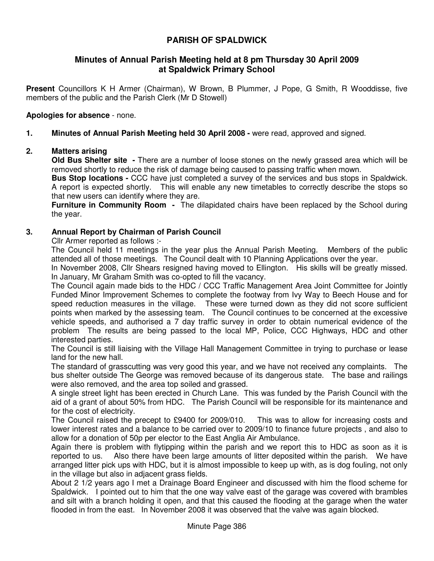# **PARISH OF SPALDWICK**

## **Minutes of Annual Parish Meeting held at 8 pm Thursday 30 April 2009 at Spaldwick Primary School**

**Present** Councillors K H Armer (Chairman), W Brown, B Plummer, J Pope, G Smith, R Wooddisse, five members of the public and the Parish Clerk (Mr D Stowell)

### **Apologies for absence** - none.

### **1. Minutes of Annual Parish Meeting held 30 April 2008 -** were read, approved and signed.

### **2. Matters arising**

**Old Bus Shelter site -** There are a number of loose stones on the newly grassed area which will be removed shortly to reduce the risk of damage being caused to passing traffic when mown.

**Bus Stop locations -** CCC have just completed a survey of the services and bus stops in Spaldwick. A report is expected shortly. This will enable any new timetables to correctly describe the stops so that new users can identify where they are.

**Furniture in Community Room -** The dilapidated chairs have been replaced by the School during the year.

### **3. Annual Report by Chairman of Parish Council**

Cllr Armer reported as follows :-

The Council held 11 meetings in the year plus the Annual Parish Meeting. Members of the public attended all of those meetings. The Council dealt with 10 Planning Applications over the year.

In November 2008, Cllr Shears resigned having moved to Ellington. His skills will be greatly missed. In January, Mr Graham Smith was co-opted to fill the vacancy.

The Council again made bids to the HDC / CCC Traffic Management Area Joint Committee for Jointly Funded Minor Improvement Schemes to complete the footway from Ivy Way to Beech House and for speed reduction measures in the village. These were turned down as they did not score sufficient points when marked by the assessing team. The Council continues to be concerned at the excessive vehicle speeds, and authorised a 7 day traffic survey in order to obtain numerical evidence of the problem The results are being passed to the local MP, Police, CCC Highways, HDC and other interested parties.

The Council is still liaising with the Village Hall Management Committee in trying to purchase or lease land for the new hall.

The standard of grasscutting was very good this year, and we have not received any complaints. The bus shelter outside The George was removed because of its dangerous state. The base and railings were also removed, and the area top soiled and grassed.

A single street light has been erected in Church Lane. This was funded by the Parish Council with the aid of a grant of about 50% from HDC. The Parish Council will be responsible for its maintenance and for the cost of electricity.

The Council raised the precept to £9400 for 2009/010. This was to allow for increasing costs and lower interest rates and a balance to be carried over to 2009/10 to finance future projects , and also to allow for a donation of 50p per elector to the East Anglia Air Ambulance.

Again there is problem with flytipping within the parish and we report this to HDC as soon as it is reported to us. Also there have been large amounts of litter deposited within the parish. We have arranged litter pick ups with HDC, but it is almost impossible to keep up with, as is dog fouling, not only in the village but also in adjacent grass fields.

About 2 1/2 years ago I met a Drainage Board Engineer and discussed with him the flood scheme for Spaldwick. I pointed out to him that the one way valve east of the garage was covered with brambles and silt with a branch holding it open, and that this caused the flooding at the garage when the water flooded in from the east. In November 2008 it was observed that the valve was again blocked.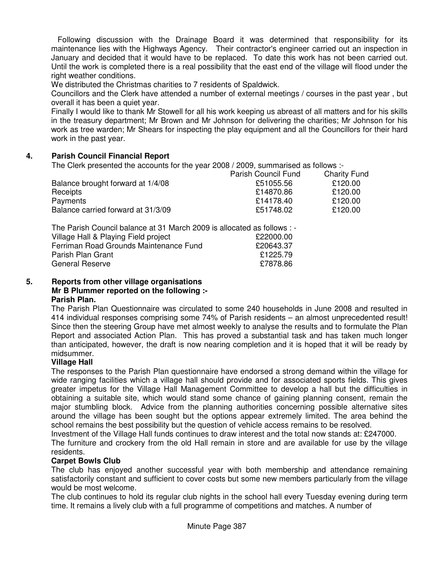Following discussion with the Drainage Board it was determined that responsibility for its maintenance lies with the Highways Agency. Their contractor's engineer carried out an inspection in January and decided that it would have to be replaced. To date this work has not been carried out. Until the work is completed there is a real possibility that the east end of the village will flood under the right weather conditions.

We distributed the Christmas charities to 7 residents of Spaldwick.

Councillors and the Clerk have attended a number of external meetings / courses in the past year , but overall it has been a quiet year.

Finally I would like to thank Mr Stowell for all his work keeping us abreast of all matters and for his skills in the treasury department; Mr Brown and Mr Johnson for delivering the charities; Mr Johnson for his work as tree warden; Mr Shears for inspecting the play equipment and all the Councillors for their hard work in the past year.

### **4. Parish Council Financial Report**

The Clerk presented the accounts for the year 2008 / 2009, summarised as follows :-

|                                    | Parish Council Fund | <b>Charity Fund</b> |
|------------------------------------|---------------------|---------------------|
| Balance brought forward at 1/4/08  | £51055.56           | £120.00             |
| Receipts                           | £14870.86           | £120.00             |
| Payments                           | £14178.40           | £120.00             |
| Balance carried forward at 31/3/09 | £51748.02           | £120.00             |

| The Parish Council balance at 31 March 2009 is allocated as follows : - |           |
|-------------------------------------------------------------------------|-----------|
| Village Hall & Playing Field project                                    | £22000.00 |
| Ferriman Road Grounds Maintenance Fund                                  | £20643.37 |
| Parish Plan Grant                                                       | £1225.79  |
| <b>General Reserve</b>                                                  | £7878.86  |

#### **5. Reports from other village organisations Mr B Plummer reported on the following :- Parish Plan.**

The Parish Plan Questionnaire was circulated to some 240 households in June 2008 and resulted in 414 individual responses comprising some 74% of Parish residents – an almost unprecedented result! Since then the steering Group have met almost weekly to analyse the results and to formulate the Plan Report and associated Action Plan. This has proved a substantial task and has taken much longer than anticipated, however, the draft is now nearing completion and it is hoped that it will be ready by midsummer.

### **Village Hall**

The responses to the Parish Plan questionnaire have endorsed a strong demand within the village for wide ranging facilities which a village hall should provide and for associated sports fields. This gives greater impetus for the Village Hall Management Committee to develop a hall but the difficulties in obtaining a suitable site, which would stand some chance of gaining planning consent, remain the major stumbling block. Advice from the planning authorities concerning possible alternative sites around the village has been sought but the options appear extremely limited. The area behind the school remains the best possibility but the question of vehicle access remains to be resolved.

Investment of the Village Hall funds continues to draw interest and the total now stands at: £247000.

The furniture and crockery from the old Hall remain in store and are available for use by the village residents.

### **Carpet Bowls Club**

The club has enjoyed another successful year with both membership and attendance remaining satisfactorily constant and sufficient to cover costs but some new members particularly from the village would be most welcome.

The club continues to hold its regular club nights in the school hall every Tuesday evening during term time. It remains a lively club with a full programme of competitions and matches. A number of